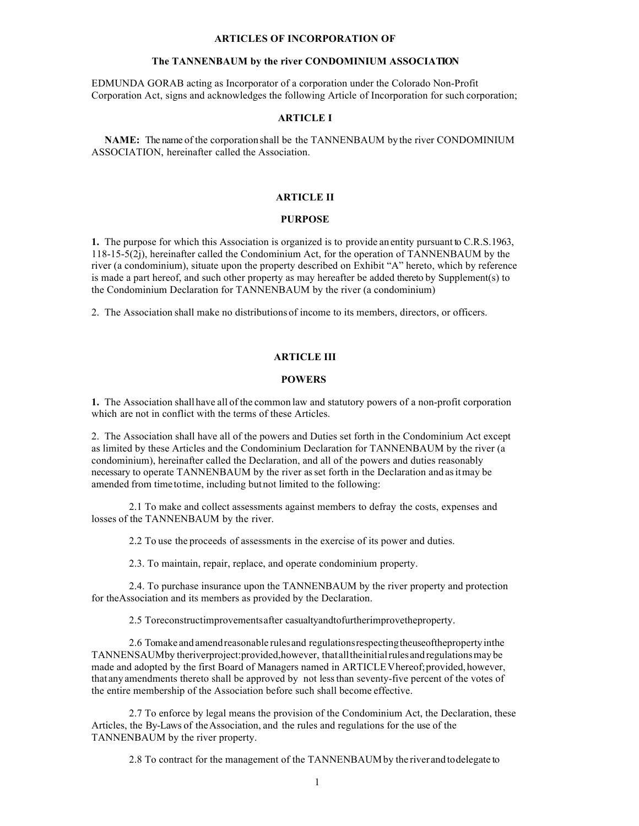#### **ARTICLES OF INCORPORATION OF**

### **The TANNENBAUM by the river CONDOMINIUM ASSOCIATION**

EDMUNDA GORAB acting as Incorporator of a corporation under the Colorado Non-Profit Corporation Act, signs and acknowledges the following Article of Incorporation for such corporation;

#### **ARTICLE I**

 **NAME:** The name of the corporationshall be the TANNENBAUM by the river CONDOMINIUM ASSOCIATION, hereinafter called the Association.

## **ARTICLE II**

## **PURPOSE**

**1.** The purpose for which this Association is organized is to provide an entity pursuant to C.R.S.1963, 118-15-5(2j), hereinafter called the Condominium Act, for the operation of TANNENBAUM by the river (a condominium), situate upon the property described on Exhibit "A" hereto, which by reference is made a part hereof, and such other property as may hereafter be added thereto by Supplement(s) to the Condominium Declaration for TANNENBAUM by the river (a condominium)

2. The Association shall make no distributions of income to its members, directors, or officers.

# **ARTICLE III**

### **POWERS**

**1.** The Association shallhave all of the common law and statutory powers of a non-profit corporation which are not in conflict with the terms of these Articles.

2. The Association shall have all of the powers and Duties set forth in the Condominium Act except as limited by these Articles and the Condominium Declaration for TANNENBAUM by the river (a condominium), hereinafter called the Declaration, and all of the powers and duties reasonably necessary to operate TANNENBAUM by the river as set forth in the Declaration and asitmay be amended from timetotime, including butnot limited to the following:

2.1 To make and collect assessments against members to defray the costs, expenses and losses of the TANNENBAUM by the river.

2.2 To use the proceeds of assessments in the exercise of its power and duties.

2.3. To maintain, repair, replace, and operate condominium property.

2.4. To purchase insurance upon the TANNENBAUM by the river property and protection for theAssociation and its members as provided by the Declaration.

2.5 Toreconstructimprovementsafter casualtyandtofurtherimprovetheproperty.

2.6 Tomake andamendreasonable rulesand regulationsrespectingtheuseofthepropertyinthe TANNENSAUMby theriverproject:provided,however, thatalltheinitialrulesandregulationsmaybe made and adopted by the first Board of Managers named in ARTICLEV hereof; provided, however, that anyamendments thereto shall be approved by not lessthan seventy-five percent of the votes of the entire membership of the Association before such shall become effective.

2.7 To enforce by legal means the provision of the Condominium Act, the Declaration, these Articles, the By-Laws of the Association, and the rules and regulations for the use of the TANNENBAUM by the river property.

2.8 To contract for the management of the TANNENBAUMby the river and todelegate to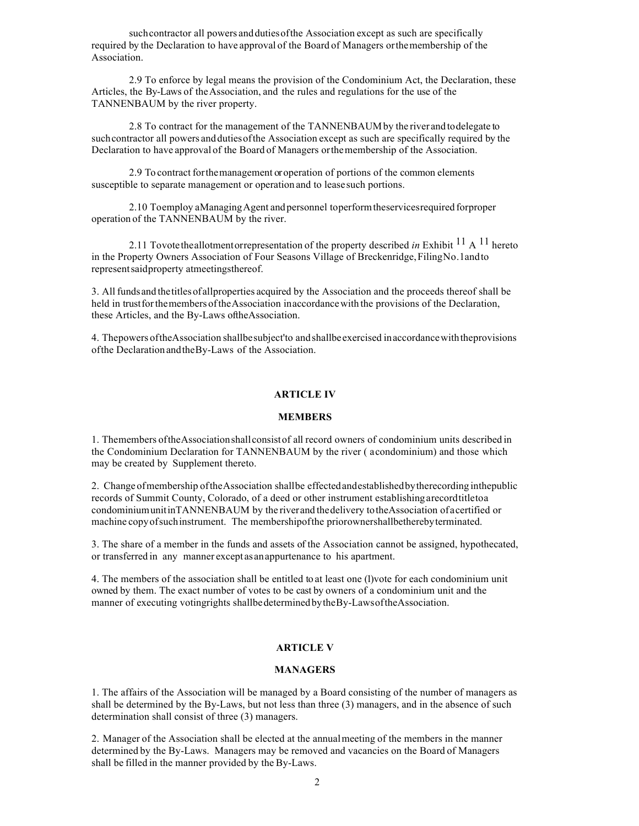such contractor all powers and duties of the Association except as such are specifically required by the Declaration to have approval of the Board of Managers orthemembership of the Association.

2.9 To enforce by legal means the provision of the Condominium Act, the Declaration, these Articles, the By-Laws of the Association, and the rules and regulations for the use of the TANNENBAUM by the river property.

2.8 To contract for the management of the TANNENBAUMby the river and todelegate to such contractor all powers and duties of the Association except as such are specifically required by the Declaration to have approval of the Board of Managers orthemembership of the Association.

2.9 To contract forthemanagement or operation of portions of the common elements susceptible to separate management or operation and to lease such portions.

2.10 Toemploy aManagingAgent and personnel toperformtheservicesrequired forproper operation of the TANNENBAUM by the river.

2.11 Tovote theallotmentorrepresentation of the property described *in* Exhibit 11 A 11 hereto in the Property Owners Association of Four Seasons Village of Breckenridge, FilingNo.1andto representsaidproperty atmeetingsthereof.

3. All fundsand thetitlesofallproperties acquired by the Association and the proceeds thereof shall be held in trust for the members of the Association inaccordance with the provisions of the Declaration, these Articles, and the By-Laws oftheAssociation.

4. Thepowers oftheAssociation shallbesubject'to andshallbeexercised inaccordancewiththeprovisions ofthe Declaration andtheBy-Laws of the Association.

# **ARTICLE IV**

### **MEMBERS**

1. Themembers oftheAssociationshallconsistof all record owners of condominium units described in the Condominium Declaration for TANNENBAUM by the river ( acondominium) and those which may be created by Supplement thereto.

2. Change ofmembership oftheAssociation shallbe effectedandestablishedbytherecording inthepublic records of Summit County, Colorado, of a deed or other instrument establishingarecordtitletoa condominiumunitinTANNENBAUM by the riverand thedelivery totheAssociation ofacertified or machine copyofsuchinstrument. The membershipofthe priorownershallbetherebyterminated.

3. The share of a member in the funds and assets of the Association cannot be assigned, hypothecated, or transferred in any manner except asanappurtenance to his apartment.

4. The members of the association shall be entitled to at least one (1) vote for each condominium unit owned by them. The exact number of votes to be cast by owners of a condominium unit and the manner of executing votingrights shallbedeterminedbytheBy-LawsoftheAssociation.

### **ARTICLE V**

# **MANAGERS**

1. The affairs of the Association will be managed by a Board consisting of the number of managers as shall be determined by the By-Laws, but not less than three (3) managers, and in the absence of such determination shall consist of three (3) managers.

2. Manager of the Association shall be elected at the annualmeeting of the members in the manner determined by the By-Laws. Managers may be removed and vacancies on the Board of Managers shall be filled in the manner provided by the By-Laws.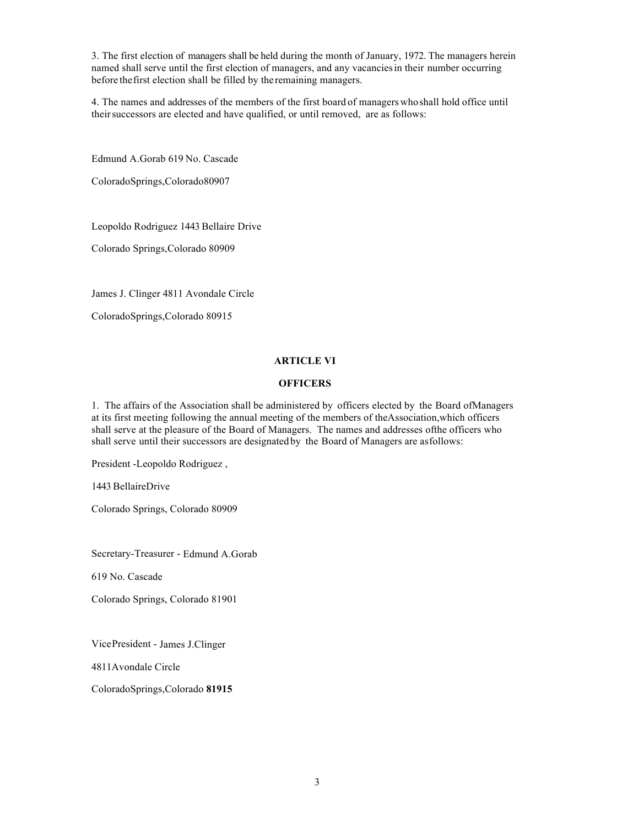3. The first election of managers shall be held during the month of January, 1972. The managers herein named shall serve until the first election of managers, and any vacanciesin their number occurring before thefirst election shall be filled by the remaining managers.

4. The names and addresses of the members of the first board of managers whoshall hold office until their successors are elected and have qualified, or until removed, are as follows:

Edmund A.Gorab 619 No. Cascade

ColoradoSprings,Colorado80907

Leopoldo Rodriguez 1443 Bellaire Drive

Colorado Springs,Colorado 80909

James J. Clinger 4811 Avondale Circle

ColoradoSprings,Colorado 80915

# **ARTICLE VI**

# **OFFICERS**

1. The affairs of the Association shall be administered by officers elected by the Board ofManagers at its first meeting following the annual meeting of the members of theAssociation,which officers shall serve at the pleasure of the Board of Managers. The names and addresses ofthe officers who shall serve until their successors are designated by the Board of Managers are asfollows:

President -Leopoldo Rodriguez ,

1443 BellaireDrive

Colorado Springs, Colorado 80909

Secretary-Treasurer - Edmund A.Gorab

619 No. Cascade

Colorado Springs, Colorado 81901

VicePresident - James J.Clinger

4811Avondale Circle

ColoradoSprings,Colorado **81915**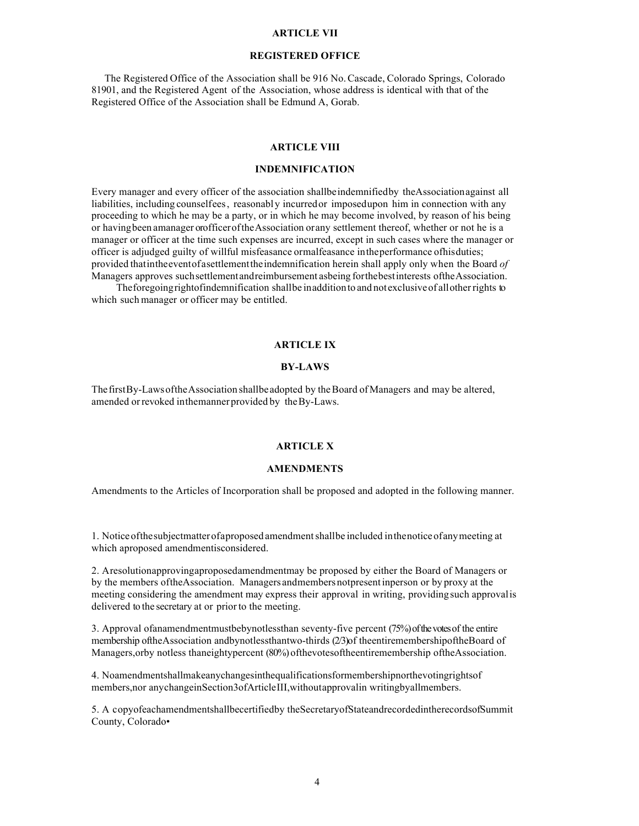## **ARTICLE VII**

## **REGISTERED OFFICE**

 The Registered Office of the Association shall be 916 No.Cascade, Colorado Springs, Colorado 81901, and the Registered Agent of the Association, whose address is identical with that of the Registered Office of the Association shall be Edmund A, Gorab.

# **ARTICLE VIII**

## **INDEMNIFICATION**

Every manager and every officer of the association shallbeindemnifiedby theAssociationagainst all liabilities, including counselfees, reasonably incurredor imposedupon him in connection with any proceeding to which he may be a party, or in which he may become involved, by reason of his being or havingbeen amanager orofficeroftheAssociation orany settlement thereof, whether or not he is a manager or officer at the time such expenses are incurred, except in such cases where the manager or officer is adjudged guilty of willful misfeasance ormalfeasance intheperformance ofhisduties; provided thatintheeventofasettlementtheindemnification herein shall apply only when the Board *of*  Managers approves such settlement and reimbursement as being for the best interests of the Association.

Theforegoingrightofindemnification shallbe inadditionto and not exclusiveof allotherrights to which such manager or officer may be entitled.

# **ARTICLE IX**

# **BY-LAWS**

ThefirstBy-LawsoftheAssociation shallbeadopted by theBoard ofManagers and may be altered, amended or revoked inthemanner provided by the By-Laws.

# **ARTICLE X**

### **AMENDMENTS**

Amendments to the Articles of Incorporation shall be proposed and adopted in the following manner.

1. Noticeofthesubjectmatterofaproposed amendmentshallbe included inthenoticeofanymeeting at which aproposed amendmentisconsidered.

2. Aresolutionapprovingaproposedamendmentmay be proposed by either the Board of Managers or by the members oftheAssociation. Managers andmembersnotpresentinperson or by proxy at the meeting considering the amendment may express their approval in writing, providing such approvalis delivered to the secretary at or prior to the meeting.

3. Approval ofanamendmentmustbebynotlessthan seventy-five percent (75%) of the votes of the entire membership oftheAssociation andbynotlessthantwo-thirds (2/3)of theentiremembershipoftheBoard of Managers,orby notless thaneightypercent (80%) ofthevotesoftheentiremembership oftheAssociation.

4. Noamendmentshallmakeanychangesinthequalificationsformembershipnorthevotingrightsof members,nor anychangeinSection3ofArticleIII,withoutapprovalin writingbyallmembers.

5. A copyofeachamendmentshallbecertifiedby theSecretaryofStateandrecordedintherecordsofSummit County, Colorado•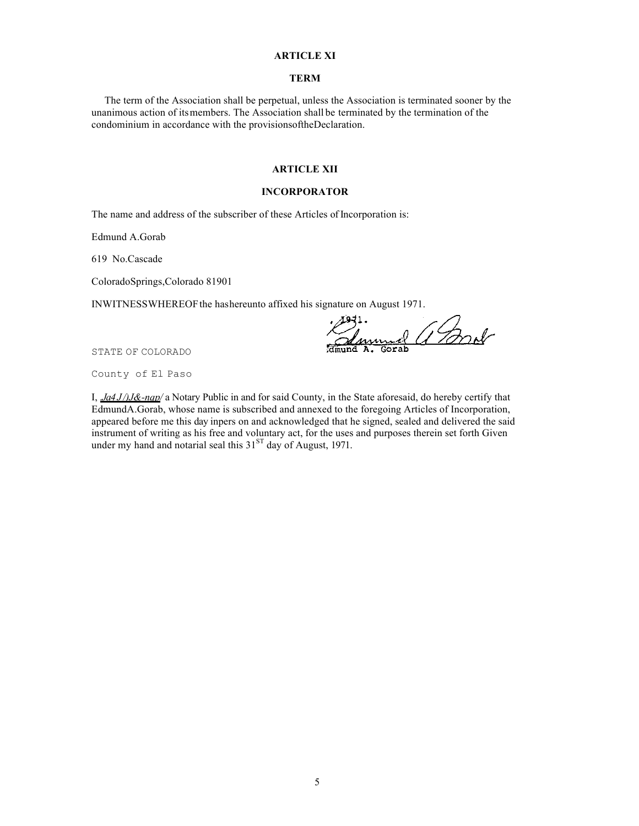### **ARTICLE XI**

#### **TERM**

 The term of the Association shall be perpetual, unless the Association is terminated sooner by the unanimous action of itsmembers. The Association shall be terminated by the termination of the condominium in accordance with the provisionsoftheDeclaration.

## **ARTICLE XII**

### **INCORPORATOR**

The name and address of the subscriber of these Articles of Incorporation is:

Edmund A.Gorab

619 No.Cascade

ColoradoSprings,Colorado 81901

INWITNESSWHEREOFthe hashereunto affixed his signature on August 1971.

el Gard

STATE OF COLORADO

County of El Paso

I, *.Ja4 J /)J&-nqp/* a Notary Public in and for said County, in the State aforesaid, do hereby certify that EdmundA.Gorab, whose name is subscribed and annexed to the foregoing Articles of Incorporation, appeared before me this day inpers on and acknowledged that he signed, sealed and delivered the said instrument of writing as his free and voluntary act, for the uses and purposes therein set forth Given under my hand and notarial seal this  $31<sup>ST</sup>$  day of August, 1971.